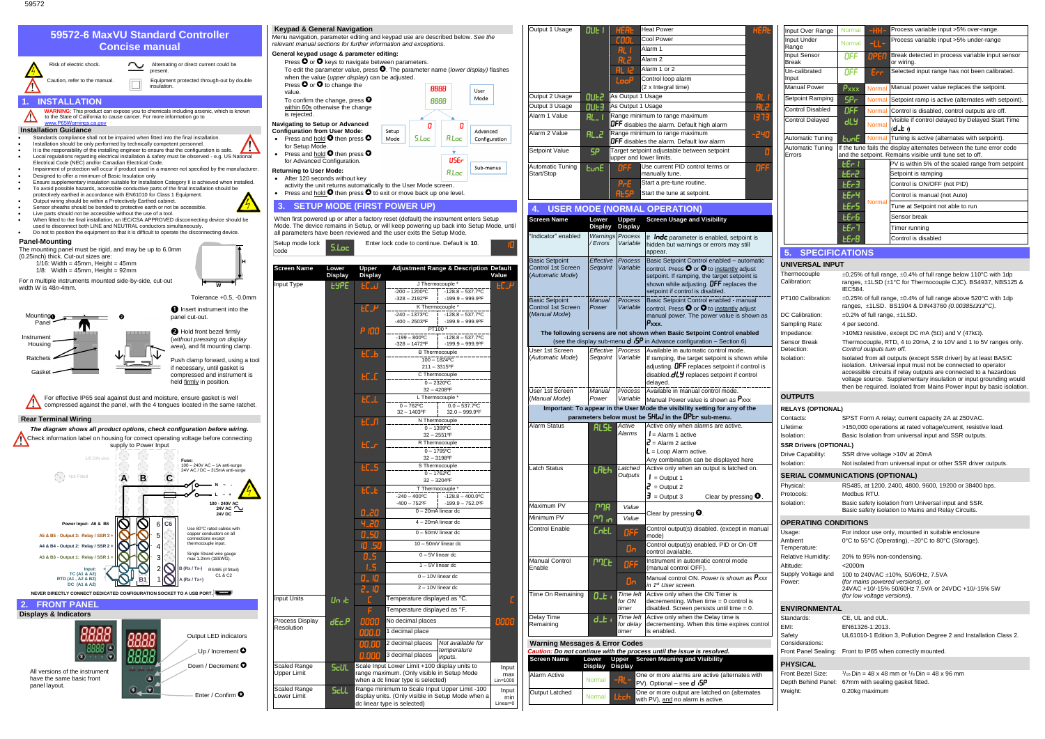59572



| Output 1 Usage                              | OUE I                  | HEA                                 | <b>Heat Power</b>                                                                                         | <b>HERL</b>  | Input Over Range                                   | Normal                      | $-HH-$        | Process variable input >5% over-range.                                                                                                     |
|---------------------------------------------|------------------------|-------------------------------------|-----------------------------------------------------------------------------------------------------------|--------------|----------------------------------------------------|-----------------------------|---------------|--------------------------------------------------------------------------------------------------------------------------------------------|
|                                             |                        | coo                                 | Cool Power                                                                                                |              | Input Under                                        | Normal                      | $-L$          | Process variable input >5% under-range                                                                                                     |
|                                             |                        | H.                                  | Alarm 1                                                                                                   |              | Range<br>Input Sensor                              | OFF                         | <b>DPEI</b>   | Break detected in process variable input sensor                                                                                            |
|                                             |                        | RI 2                                | Alarm <sub>2</sub>                                                                                        |              | <b>Break</b>                                       |                             |               | or wiring.                                                                                                                                 |
|                                             |                        |                                     | Alarm 1 or 2                                                                                              |              | Un-calibrated                                      | OFF                         | Err           | Selected input range has not been calibrated.                                                                                              |
|                                             |                        | LooP                                | Control loop alarm<br>(2 x Integral time)                                                                 |              | Input<br><b>Manual Power</b>                       | $P_{XXX}$                   | Norma         | Manual power value replaces the setpoint.                                                                                                  |
| Output 2 Usage                              | <b>QUE2</b>            | As Output 1 Usage                   |                                                                                                           | AL           | Setpoint Ramping                                   | SP <sub>r</sub>             | <b>Normal</b> | Setpoint ramp is active (alternates with setpoint).                                                                                        |
| Output 3 Usage                              | <b>OUE3</b>            | As Output 1 Usage                   |                                                                                                           | <b>AL2</b>   | <b>Control Disabled</b>                            | OFF                         | Normal        | Control is disabled, control outputs are off.                                                                                              |
| Alarm 1 Value                               | $RL_1$                 |                                     | Range minimum to range maximum                                                                            | <u>נר כו</u> | <b>Control Delayed</b>                             | dLY                         |               | Visible if control delayed by Delayed Start Time                                                                                           |
| Alarm 2 Value                               |                        |                                     | <b>OFF</b> disables the alarm. Default high alarm<br>Range minimum to range maximum                       |              |                                                    |                             | Norma         | (d_b 1)                                                                                                                                    |
|                                             | <b>RL_2</b>            |                                     | OFF disables the alarm. Default low alarm                                                                 | -240         | Automatic Tuning                                   | <b>EunE</b>                 |               | Normal Tuning is active (alternates with setpoint).                                                                                        |
| Setpoint Value                              | SP                     |                                     | Target setpoint adjustable between setpoint                                                               |              | <b>Automatic Tuning</b><br>Errors                  |                             |               | If the tune fails the display alternates between the tune error code<br>and the setpoint. Remains visible until tune set to off.           |
| <b>Automatic Tuning</b>                     |                        | upper and lower limits.             | Use current PID control terms or                                                                          |              |                                                    | EEr I                       |               | PV is within 5% of the scaled range from setpoint                                                                                          |
| Start/Stop                                  | EunE                   | 버덩의                                 | manually tune.                                                                                            | OFI          |                                                    | 6-33                        |               | Setpoint is ramping                                                                                                                        |
|                                             |                        | PrE                                 | Start a pre-tune routine.                                                                                 |              |                                                    | 66r3                        |               | Control is ON/OFF (not PID)                                                                                                                |
|                                             |                        |                                     | Start the tune at setpoint.                                                                               |              |                                                    | <b>LE-4</b>                 |               | Control is manual (not Auto)                                                                                                               |
|                                             |                        |                                     | <b>USER MODE (NORMAL OPERATION)</b>                                                                       |              |                                                    | <b>LE-S</b>                 | Normal        | Tune at Setpoint not able to run                                                                                                           |
| <b>Screen Name</b>                          | Lower                  | Upper                               | <b>Screen Usage and Visibility</b>                                                                        |              |                                                    | <b>LEr6</b>                 |               | Sensor break                                                                                                                               |
|                                             | Display                | <b>Display</b>                      |                                                                                                           |              |                                                    | EEr7                        |               | Timer running                                                                                                                              |
| 'Indicator" enabled                         | / Errors               | <b>Warnings Process</b><br>Variable | If Inde parameter is enabled, setpoint is                                                                 |              |                                                    | $E - B$                     |               | Control is disabled                                                                                                                        |
|                                             |                        |                                     | hidden but warnings or errors may still<br>appear.                                                        |              | 5. SPECIFICATIONS                                  |                             |               |                                                                                                                                            |
| <b>Basic Setpoint</b>                       | Effective              | Process                             | Basic Setpoint Control enabled - automatic                                                                |              | <b>UNIVERSAL INPUT</b>                             |                             |               |                                                                                                                                            |
| Control 1st Screen<br>(Automatic Mode)      | Setpoint               | Variable                            | control. Press $\bullet$ or $\bullet$ to instantly adjust<br>setpoint. If ramping, the target setpoint is |              | Thermocouple                                       |                             |               | $\pm$ 0.25% of full range, $\pm$ 0.4% of full range below 110°C with 1dp                                                                   |
|                                             |                        |                                     | shown while adjusting. $\mathsf{DFF}$ replaces the                                                        |              | Calibration:                                       |                             |               | ranges, ±1LSD (±1°C for Thermocouple CJC). BS4937, NBS125 &                                                                                |
|                                             |                        |                                     | setpoint if control is disabled.                                                                          |              | PT100 Calibration:                                 | <b>IEC584.</b>              |               | $\pm$ 0.25% of full range, $\pm$ 0.4% of full range above 520°C with 1dp                                                                   |
| <b>Basic Setpoint</b><br>Control 1st Screen | <b>Manual</b><br>Power | <b>Process</b><br>Variable          | Basic Setpoint Control enabled - manual<br>control. Press $\bullet$ or $\bullet$ to instantly adjust      |              |                                                    |                             |               | ranges, ±1LSD. BS1904 & DIN43760 (0.00385Ω/Ω/°C).                                                                                          |
| (Manual Mode)                               |                        |                                     | manual power. The power value is shown as                                                                 |              | DC Calibration:                                    |                             |               | $\pm 0.2\%$ of full range, $\pm 1$ LSD.                                                                                                    |
|                                             |                        |                                     | $P_{XXX.}$<br>The following screens are not shown when Basic Setpoint Control enabled                     |              | Sampling Rate:                                     | 4 per second.               |               |                                                                                                                                            |
|                                             |                        |                                     | (see the display sub-menu $d \cdot 5P$ in Advance configuration – Section 6)                              |              | Impedance:<br>Sensor Break                         |                             |               | >10MΩ resistive, except DC mA (5Ω) and V (47kΩ).<br>Thermocouple, RTD, 4 to 20mA, 2 to 10V and 1 to 5V ranges only.                        |
| User 1st Screen                             |                        | Effective Process                   | Available in automatic control mode.                                                                      |              | Detection:                                         | Control outputs turn off.   |               |                                                                                                                                            |
| (Automatic Mode)                            | Setpoint               | Variable                            | If ramping, the target setpoint is shown while                                                            |              | Isolation:                                         |                             |               | Isolated from all outputs (except SSR driver) by at least BASIC<br>isolation. Universal input must not be connected to operator            |
|                                             |                        |                                     | adjusting. OFF replaces setpoint if control is<br>disabled.dLY replaces setpoint if control               |              |                                                    |                             |               | accessible circuits if relay outputs are connected to a hazardous                                                                          |
|                                             |                        |                                     | delayed.                                                                                                  |              |                                                    |                             |               | voltage source. Supplementary insulation or input grounding would<br>then be required. Isolated from Mains Power Input by basic isolation. |
| User 1st Screen<br>(Manual Mode)            | Manual<br>Power        | Process<br>Variable                 | Available in manual control mode.<br>Manual Power value is shown as Pxxx                                  |              | <b>OUTPUTS</b>                                     |                             |               |                                                                                                                                            |
|                                             |                        |                                     | Important: To appear in the User Mode the visibility setting for any of the                               |              | <b>RELAYS (OPTIONAL)</b>                           |                             |               |                                                                                                                                            |
|                                             |                        |                                     | parameters below must be SHUJ in the OPEr sub-menu.                                                       |              | Contacts:                                          |                             |               | SPST Form A relay; current capacity 2A at 250VAC.                                                                                          |
| Alarm Status                                | <b>ALSE</b>            | Active<br>Alarms                    | Active only when alarms are active.                                                                       |              | Lifetime:                                          |                             |               | >150,000 operations at rated voltage/current, resistive load.                                                                              |
|                                             |                        |                                     | $I =$ Alarm 1 active<br>$2$ = Alarm 2 active                                                              |              | Isolation:                                         |                             |               | Basic Isolation from universal input and SSR outputs.                                                                                      |
|                                             |                        |                                     | $L =$ Loop Alarm active.                                                                                  |              | <b>SSR Drivers (OPTIONAL)</b><br>Drive Capability: |                             |               | SSR drive voltage >10V at 20mA                                                                                                             |
|                                             |                        |                                     | Any combination can be displayed here                                                                     |              | Isolation:                                         |                             |               | Not isolated from universal input or other SSR driver outputs.                                                                             |
| Latch Status                                | LALH                   | Latched<br>Outputs                  | Active only when an output is latched on.<br>$I =$ Output 1                                               |              | <b>SERIAL COMMUNICATIONS (OPTIONAL)</b>            |                             |               |                                                                                                                                            |
|                                             |                        |                                     | $2$ = Output 2                                                                                            |              | Physical:                                          |                             |               | RS485, at 1200, 2400, 4800, 9600, 19200 or 38400 bps.                                                                                      |
|                                             |                        |                                     | $\overline{\mathbf{J}}$ = Output 3<br>Clear by pressing $\mathbf \Theta$ .                                |              | Protocols:                                         | Modbus RTU.                 |               |                                                                                                                                            |
| Maximum PV                                  | <b>P<sub>na</sub></b>  | Value                               |                                                                                                           |              | Isolation:                                         |                             |               | Basic safety isolation from Universal input and SSR.<br>Basic safety isolation to Mains and Relay Circuits.                                |
| Minimum PV                                  | הו ריז                 | Value                               | Clear by pressing $\mathbf{\Theta}$ .                                                                     |              |                                                    |                             |               |                                                                                                                                            |
| <b>Control Enable</b>                       | <b>CntL</b>            | OFF                                 | Control output(s) disabled. (except in manual                                                             |              | <b>OPERATING CONDITIONS</b><br>Usage:              |                             |               | For indoor use only, mounted in suitable enclosure                                                                                         |
|                                             |                        |                                     | mode)                                                                                                     |              | Ambient                                            |                             |               | 0°C to 55°C (Operating), -20°C to 80°C (Storage).                                                                                          |
|                                             |                        | $\mathbf{0}$                        | Control output(s) enabled. PID or On-Off<br>control available.                                            |              | Temperature:                                       |                             |               |                                                                                                                                            |
| Manual Control                              | <b>PACE</b>            | OFF                                 | Instrument in automatic control mode                                                                      |              | Relative Humidity:<br>Altitude:                    | $<$ 2000 $m$                |               | 20% to 95% non-condensing.                                                                                                                 |
| Enable                                      |                        |                                     | (manual control OFF).                                                                                     |              | Supply Voltage and                                 |                             |               | 100 to 240VAC ±10%, 50/60Hz, 7.5VA                                                                                                         |
|                                             |                        | On                                  | Manual control ON. Power is shown as Pxxx<br>in 1 <sup>st</sup> User screen.                              |              | Power:                                             |                             |               | (for mains powered versions), or                                                                                                           |
| Time On Remaining                           | 0 <sub>z</sub>         | Time left                           | Active only when the ON Timer is                                                                          |              |                                                    | (for low voltage versions). |               | 24VAC +10/-15% 50/60Hz 7.5VA or 24VDC +10/-15% 5W                                                                                          |
|                                             |                        | for ON<br>timer                     | decrementing. When time $= 0$ control is<br>disabled. Screen persists until time = 0.                     |              | <b>ENVIRONMENTAL</b>                               |                             |               |                                                                                                                                            |
| Delay Time                                  | $d_t$                  | Time left                           | Active only when the Delay time is                                                                        |              | Standards:                                         | CE, UL and cUL.             |               |                                                                                                                                            |
| Remaining                                   |                        | for delay<br>timer                  | decrementing. When this time expires control<br>is enabled.                                               |              | EMI:                                               | EN61326-1:2013.             |               |                                                                                                                                            |
| <b>Warning Messages &amp; Error Codes</b>   |                        |                                     |                                                                                                           |              | Safety<br>Considerations:                          |                             |               | UL61010-1 Edition 3, Pollution Degree 2 and Installation Class 2.                                                                          |
|                                             |                        |                                     | Caution: Do not continue with the process until the issue is resolved.                                    |              | Front Panel Sealing:                               |                             |               | Front to IP65 when correctly mounted.                                                                                                      |
| <b>Screen Name</b>                          | Lower                  | <b>Upper</b>                        | <b>Screen Meaning and Visibility</b>                                                                      |              | <b>PHYSICAL</b>                                    |                             |               |                                                                                                                                            |
| Alarm Active                                | Display Display        |                                     | One or more alarms are active (alternates with                                                            |              | Front Bezel Size:                                  |                             |               | $\frac{1}{16}$ Din = 48 x 48 mm or $\frac{1}{8}$ Din = 48 x 96 mm                                                                          |
|                                             | Normal                 | -AL                                 | PV). Optional - see d $5P$                                                                                |              | Depth Behind Panel:                                |                             |               | 67mm with sealing gasket fitted.                                                                                                           |
| <b>Output Latched</b>                       | Normal                 | Ltch                                | One or more output are latched on (alternates                                                             |              | Weight:                                            | 0.20kg maximum              |               |                                                                                                                                            |
|                                             |                        |                                     | with PV), and no alarm is active.                                                                         |              |                                                    |                             |               |                                                                                                                                            |